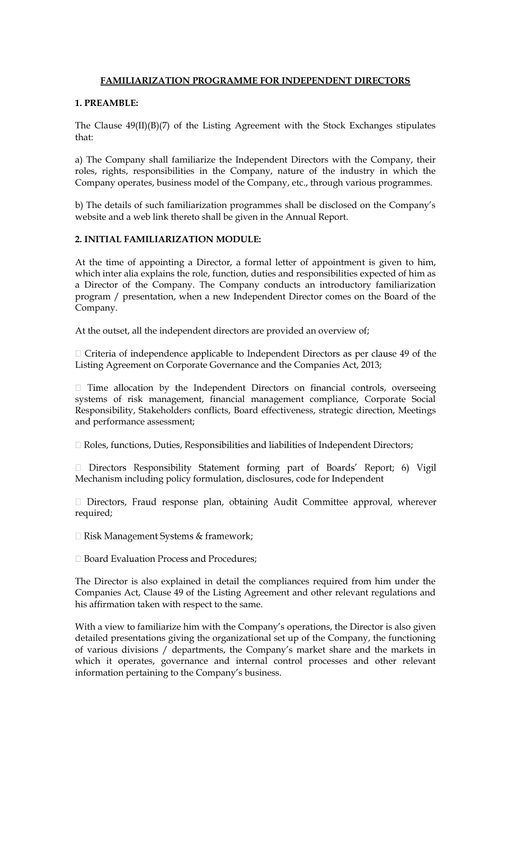## **FAMILIARIZATION PROGRAMME FOR INDEPENDENT DIRECTORS**

## **1. PREAMBLE:**

The Clause 49(II)(B)(7) of the Listing Agreement with the Stock Exchanges stipulates that:

a) The Company shall familiarize the Independent Directors with the Company, their roles, rights, responsibilities in the Company, nature of the industry in which the Company operates, business model of the Company, etc., through various programmes.

b) The details of such familiarization programmes shall be disclosed on the Company's website and a web link thereto shall be given in the Annual Report.

# **2. INITIAL FAMILIARIZATION MODULE:**

At the time of appointing a Director, a formal letter of appointment is given to him, which inter alia explains the role, function, duties and responsibilities expected of him as a Director of the Company. The Company conducts an introductory familiarization program / presentation, when a new Independent Director comes on the Board of the Company.

At the outset, all the independent directors are provided an overview of;

 $\Box$  Criteria of independence applicable to Independent Directors as per clause 49 of the Listing Agreement on Corporate Governance and the Companies Act, 2013;

 $\Box$  Time allocation by the Independent Directors on financial controls, overseeing systems of risk management, financial management compliance, Corporate Social Responsibility, Stakeholders conflicts, Board effectiveness, strategic direction, Meetings and performance assessment;

□ Roles, functions, Duties, Responsibilities and liabilities of Independent Directors;

Directors Responsibility Statement forming part of Boards' Report; 6) Vigil Mechanism including policy formulation, disclosures, code for Independent

□ Directors, Fraud response plan, obtaining Audit Committee approval, wherever required;

□ Risk Management Systems & framework;

□ Board Evaluation Process and Procedures:

The Director is also explained in detail the compliances required from him under the Companies Act, Clause 49 of the Listing Agreement and other relevant regulations and his affirmation taken with respect to the same.

With a view to familiarize him with the Company's operations, the Director is also given detailed presentations giving the organizational set up of the Company, the functioning of various divisions / departments, the Company's market share and the markets in which it operates, governance and internal control processes and other relevant information pertaining to the Company's business.